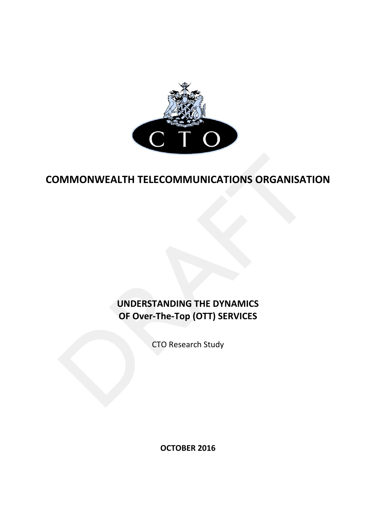

# **COMMONWEALTH TELECOMMUNICATIONS ORGANISATION**

# **UNDERSTANDING THE DYNAMICS OF Over-The-Top (OTT) SERVICES**

CTO Research Study

**OCTOBER 2016**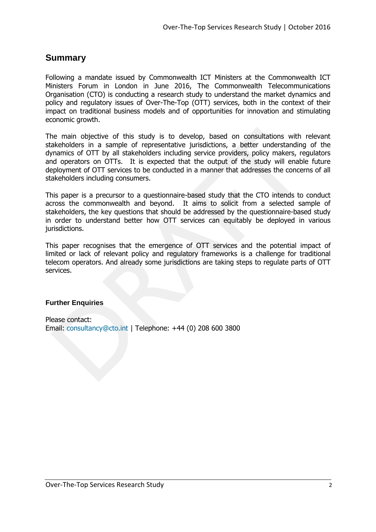# **Summary**

Following a mandate issued by Commonwealth ICT Ministers at the Commonwealth ICT Ministers Forum in London in June 2016, The Commonwealth Telecommunications Organisation (CTO) is conducting a research study to understand the market dynamics and policy and regulatory issues of Over-The-Top (OTT) services, both in the context of their impact on traditional business models and of opportunities for innovation and stimulating economic growth.

The main objective of this study is to develop, based on consultations with relevant stakeholders in a sample of representative jurisdictions, a better understanding of the dynamics of OTT by all stakeholders including service providers, policy makers, regulators and operators on OTTs. It is expected that the output of the study will enable future deployment of OTT services to be conducted in a manner that addresses the concerns of all stakeholders including consumers.

This paper is a precursor to a questionnaire-based study that the CTO intends to conduct across the commonwealth and beyond. It aims to solicit from a selected sample of stakeholders, the key questions that should be addressed by the questionnaire-based study in order to understand better how OTT services can equitably be deployed in various jurisdictions.

This paper recognises that the emergence of OTT services and the potential impact of limited or lack of relevant policy and regulatory frameworks is a challenge for traditional telecom operators. And already some jurisdictions are taking steps to regulate parts of OTT services.

#### **Further Enquiries**

Please contact: Email: [consultancy@cto.int](mailto:consultancy@cto.int) | Telephone: +44 (0) 208 600 3800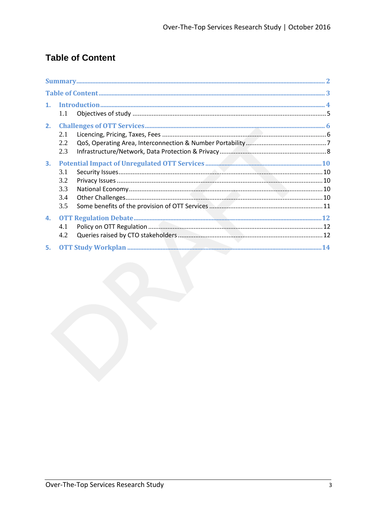# **Table of Content**

| 1. | 1.1                             |  |
|----|---------------------------------|--|
| 2. | 2.1<br>2.2<br>2.3               |  |
| 3. | 3.1<br>3.2<br>3.3<br>3.4<br>3.5 |  |
|    | 4.1<br>4.2                      |  |
|    |                                 |  |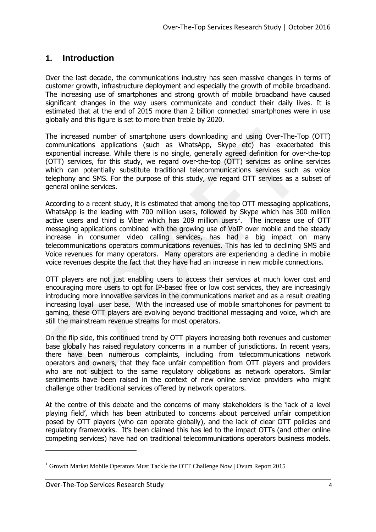# **1. Introduction**

Over the last decade, the communications industry has seen massive changes in terms of customer growth, infrastructure deployment and especially the growth of mobile broadband. The increasing use of smartphones and strong growth of mobile broadband have caused significant changes in the way users communicate and conduct their daily lives. It is estimated that at the end of 2015 more than 2 billion connected smartphones were in use globally and this figure is set to more than treble by 2020.

The increased number of smartphone users downloading and using Over-The-Top (OTT) communications applications (such as WhatsApp, Skype etc) has exacerbated this exponential increase. While there is no single, generally agreed definition for over-the-top (OTT) services, for this study, we regard over-the-top (OTT) services as online services which can potentially substitute traditional telecommunications services such as voice telephony and SMS. For the purpose of this study, we regard OTT services as a subset of general online services.

According to a recent study, it is estimated that among the top OTT messaging applications, WhatsApp is the leading with 700 million users, followed by Skype which has 300 million active users and third is Viber which has 209 million users<sup>1</sup>. The increase use of OTT messaging applications combined with the growing use of VoIP over mobile and the steady increase in consumer video calling services, has had a big impact on many telecommunications operators communications revenues. This has led to declining SMS and Voice revenues for many operators. Many operators are experiencing a decline in mobile voice revenues despite the fact that they have had an increase in new mobile connections.

OTT players are not just enabling users to access their services at much lower cost and encouraging more users to opt for IP-based free or low cost services, they are increasingly introducing more innovative services in the communications market and as a result creating increasing loyal user base. With the increased use of mobile smartphones for payment to gaming, these OTT players are evolving beyond traditional messaging and voice, which are still the mainstream revenue streams for most operators.

On the flip side, this continued trend by OTT players increasing both revenues and customer base globally has raised regulatory concerns in a number of jurisdictions. In recent years, there have been numerous complaints, including from telecommunications network operators and owners, that they face unfair competition from OTT players and providers who are not subject to the same regulatory obligations as network operators. Similar sentiments have been raised in the context of new online service providers who might challenge other traditional services offered by network operators.

At the centre of this debate and the concerns of many stakeholders is the 'lack of a level playing field', which has been attributed to concerns about perceived unfair competition posed by OTT players (who can operate globally), and the lack of clear OTT policies and regulatory frameworks. It's been claimed this has led to the impact OTTs (and other online competing services) have had on traditional telecommunications operators business models.

-

<sup>1</sup> Growth Market Mobile Operators Must Tackle the OTT Challenge Now | Ovum Report 2015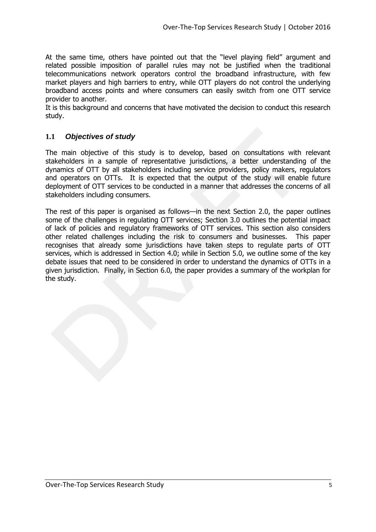At the same time, others have pointed out that the "level playing field" argument and related possible imposition of parallel rules may not be justified when the traditional telecommunications network operators control the broadband infrastructure, with few market players and high barriers to entry, while OTT players do not control the underlying broadband access points and where consumers can easily switch from one OTT service provider to another.

It is this background and concerns that have motivated the decision to conduct this research study.

# **1.1** *Objectives of study*

The main objective of this study is to develop, based on consultations with relevant stakeholders in a sample of representative jurisdictions, a better understanding of the dynamics of OTT by all stakeholders including service providers, policy makers, regulators and operators on OTTs. It is expected that the output of the study will enable future deployment of OTT services to be conducted in a manner that addresses the concerns of all stakeholders including consumers.

The rest of this paper is organised as follows—in the next Section 2.0, the paper outlines some of the challenges in regulating OTT services; Section 3.0 outlines the potential impact of lack of policies and regulatory frameworks of OTT services. This section also considers other related challenges including the risk to consumers and businesses. This paper recognises that already some jurisdictions have taken steps to regulate parts of OTT services, which is addressed in Section 4.0; while in Section 5.0, we outline some of the key debate issues that need to be considered in order to understand the dynamics of OTTs in a given jurisdiction. Finally, in Section 6.0, the paper provides a summary of the workplan for the study.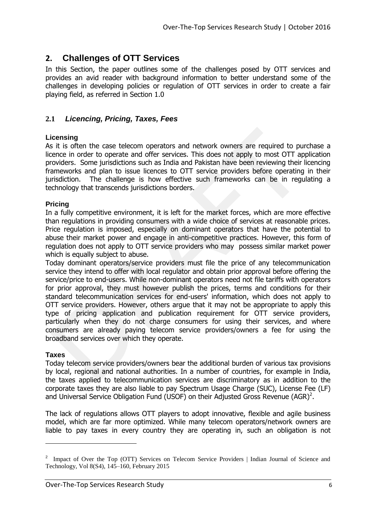# **2. Challenges of OTT Services**

In this Section, the paper outlines some of the challenges posed by OTT services and provides an avid reader with background information to better understand some of the challenges in developing policies or regulation of OTT services in order to create a fair playing field, as referred in Section 1.0

## **2.1** *Licencing, Pricing, Taxes, Fees*

#### **Licensing**

As it is often the case telecom operators and network owners are required to purchase a licence in order to operate and offer services. This does not apply to most OTT application providers. Some jurisdictions such as India and Pakistan have been reviewing their licencing frameworks and plan to issue licences to OTT service providers before operating in their jurisdiction. The challenge is how effective such frameworks can be in regulating a technology that transcends jurisdictions borders.

#### **Pricing**

In a fully competitive environment, it is left for the market forces, which are more effective than regulations in providing consumers with a wide choice of services at reasonable prices. Price regulation is imposed, especially on dominant operators that have the potential to abuse their market power and engage in anti-competitive practices. However, this form of regulation does not apply to OTT service providers who may possess similar market power which is equally subject to abuse.

Today dominant operators/service providers must file the price of any telecommunication service they intend to offer with local regulator and obtain prior approval before offering the service/price to end-users. While non-dominant operators need not file tariffs with operators for prior approval, they must however publish the prices, terms and conditions for their standard telecommunication services for end-users' information, which does not apply to OTT service providers. However, others argue that it may not be appropriate to apply this type of pricing application and publication requirement for OTT service providers, particularly when they do not charge consumers for using their services, and where consumers are already paying telecom service providers/owners a fee for using the broadband services over which they operate.

#### **Taxes**

-

Today telecom service providers/owners bear the additional burden of various tax provisions by local, regional and national authorities. In a number of countries, for example in India, the taxes applied to telecommunication services are discriminatory as in addition to the corporate taxes they are also liable to pay Spectrum Usage Charge (SUC), License Fee (LF) and Universal Service Obligation Fund (USOF) on their Adjusted Gross Revenue (AGR)<sup>2</sup>.

The lack of regulations allows OTT players to adopt innovative, flexible and agile business model, which are far more optimized. While many telecom operators/network owners are liable to pay taxes in every country they are operating in, such an obligation is not

<sup>&</sup>lt;sup>2</sup> Impact of Over the Top (OTT) Services on Telecom Service Providers | Indian Journal of Science and Technology, Vol 8(S4), 145–160, February 2015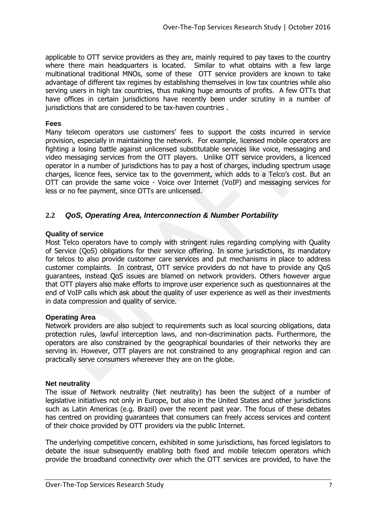applicable to OTT service providers as they are, mainly required to pay taxes to the country where there main headquarters is located. Similar to what obtains with a few large multinational traditional MNOs, some of these OTT service providers are known to take advantage of different tax regimes by establishing themselves in low tax countries while also serving users in high tax countries, thus making huge amounts of profits. A few OTTs that have offices in certain jurisdictions have recently been under scrutiny in a number of jurisdictions that are considered to be tax-haven countries.

#### **Fees**

Many telecom operators use customers' fees to support the costs incurred in service provision, especially in maintaining the network. For example, licensed mobile operators are fighting a losing battle against unlicensed substitutable services like voice, messaging and video messaging services from the OTT players. Unlike OTT service providers, a licenced operator in a number of jurisdictions has to pay a host of charges, including spectrum usage charges, licence fees, service tax to the government, which adds to a Telco's cost. But an OTT can provide the same voice - Voice over Internet (VoIP) and messaging services for less or no fee payment, since OTTs are unlicensed.

# **2.2** *QoS, Operating Area, Interconnection & Number Portability*

#### **Quality of service**

Most Telco operators have to comply with stringent rules regarding complying with Quality of Service (QoS) obligations for their service offering. In some jurisdictions, its mandatory for telcos to also provide customer care services and put mechanisms in place to address customer complaints. In contrast, OTT service providers do not have to provide any QoS guarantees, instead QoS issues are blamed on network providers. Others however argue that OTT players also make efforts to improve user experience such as questionnaires at the end of VoIP calls which ask about the quality of user experience as well as their investments in data compression and quality of service.

#### **Operating Area**

Network providers are also subject to requirements such as local sourcing obligations, data protection rules, lawful interception laws, and non-discrimination pacts. Furthermore, the operators are also constrained by the geographical boundaries of their networks they are serving in. However, OTT players are not constrained to any geographical region and can practically serve consumers whereever they are on the globe.

#### **Net neutrality**

The issue of Network neutrality (Net neutrality) has been the subject of a number of legislative initiatives not only in Europe, but also in the United States and other jurisdictions such as Latin Americas (e.g. Brazil) over the recent past year. The focus of these debates has centred on providing guarantees that consumers can freely access services and content of their choice provided by OTT providers via the public Internet.

The underlying competitive concern, exhibited in some jurisdictions, has forced legislators to debate the issue subsequently enabling both fixed and mobile telecom operators which provide the broadband connectivity over which the OTT services are provided, to have the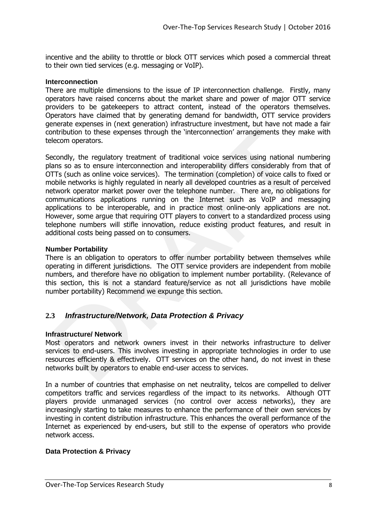incentive and the ability to throttle or block OTT services which posed a commercial threat to their own tied services (e.g. messaging or VoIP).

#### **Interconnection**

There are multiple dimensions to the issue of IP interconnection challenge. Firstly, many operators have raised concerns about the market share and power of major OTT service providers to be gatekeepers to attract content, instead of the operators themselves. Operators have claimed that by generating demand for bandwidth, OTT service providers generate expenses in (next generation) infrastructure investment, but have not made a fair contribution to these expenses through the 'interconnection' arrangements they make with telecom operators.

Secondly, the regulatory treatment of traditional voice services using national numbering plans so as to ensure interconnection and interoperability differs considerably from that of OTTs (such as online voice services). The termination (completion) of voice calls to fixed or mobile networks is highly regulated in nearly all developed countries as a result of perceived network operator market power over the telephone number. There are, no obligations for communications applications running on the Internet such as VoIP and messaging applications to be interoperable, and in practice most online-only applications are not. However, some argue that requiring OTT players to convert to a standardized process using telephone numbers will stifle innovation, reduce existing product features, and result in additional costs being passed on to consumers.

#### **Number Portability**

There is an obligation to operators to offer number portability between themselves while operating in different jurisdictions. The OTT service providers are independent from mobile numbers, and therefore have no obligation to implement number portability. (Relevance of this section, this is not a standard feature/service as not all jurisdictions have mobile number portability) Recommend we expunge this section.

# **2.3** *Infrastructure/Network, Data Protection & Privacy*

#### **Infrastructure/ Network**

Most operators and network owners invest in their networks infrastructure to deliver services to end-users. This involves investing in appropriate technologies in order to use resources efficiently & effectively. OTT services on the other hand, do not invest in these networks built by operators to enable end-user access to services.

In a number of countries that emphasise on net neutrality, telcos are compelled to deliver competitors traffic and services regardless of the impact to its networks. Although OTT players provide unmanaged services (no control over access networks), they are increasingly starting to take measures to enhance the performance of their own services by investing in content distribution infrastructure. This enhances the overall performance of the Internet as experienced by end-users, but still to the expense of operators who provide network access.

#### **Data Protection & Privacy**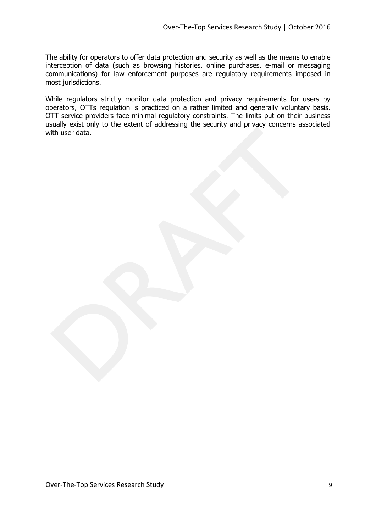The ability for operators to offer data protection and security as well as the means to enable interception of data (such as browsing histories, online purchases, e-mail or messaging communications) for law enforcement purposes are regulatory requirements imposed in most jurisdictions.

While regulators strictly monitor data protection and privacy requirements for users by operators, OTTs regulation is practiced on a rather limited and generally voluntary basis. OTT service providers face minimal regulatory constraints. The limits put on their business usually exist only to the extent of addressing the security and privacy concerns associated with user data.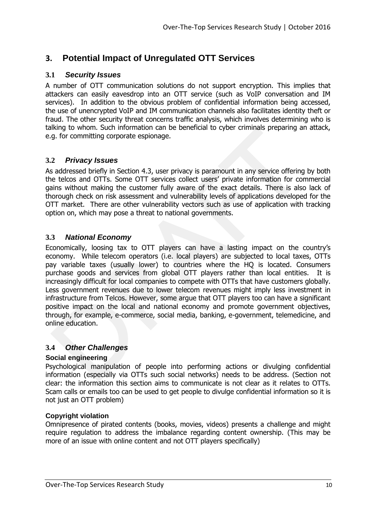# **3. Potential Impact of Unregulated OTT Services**

## **3.1** *Security Issues*

A number of OTT communication solutions do not support encryption. This implies that attackers can easily eavesdrop into an OTT service (such as VoIP conversation and IM services). In addition to the obvious problem of confidential information being accessed, the use of unencrypted VoIP and IM communication channels also facilitates identity theft or fraud. The other security threat concerns traffic analysis, which involves determining who is talking to whom. Such information can be beneficial to cyber criminals preparing an attack, e.g. for committing corporate espionage.

### **3.2** *Privacy Issues*

As addressed briefly in Section 4.3, user privacy is paramount in any service offering by both the telcos and OTTs. Some OTT services collect users' private information for commercial gains without making the customer fully aware of the exact details. There is also lack of thorough check on risk assessment and vulnerability levels of applications developed for the OTT market. There are other vulnerability vectors such as use of application with tracking option on, which may pose a threat to national governments.

# **3.3** *National Economy*

Economically, loosing tax to OTT players can have a lasting impact on the country's economy. While telecom operators (i.e. local players) are subjected to local taxes, OTTs pay variable taxes (usually lower) to countries where the HQ is located. Consumers purchase goods and services from global OTT players rather than local entities. It is increasingly difficult for local companies to compete with OTTs that have customers globally. Less government revenues due to lower telecom revenues might imply less investment in infrastructure from Telcos. However, some argue that OTT players too can have a significant positive impact on the local and national economy and promote government objectives, through, for example, e-commerce, social media, banking, e-government, telemedicine, and online education.

# **3.4** *Other Challenges*

#### **Social engineering**

Psychological manipulation of people into performing actions or divulging confidential information (especially via OTTs such social networks) needs to be address. (Section not clear: the information this section aims to communicate is not clear as it relates to OTTs. Scam calls or emails too can be used to get people to divulge confidential information so it is not just an OTT problem)

#### **Copyright violation**

Omnipresence of pirated contents (books, movies, videos) presents a challenge and might require regulation to address the imbalance regarding content ownership. (This may be more of an issue with online content and not OTT players specifically)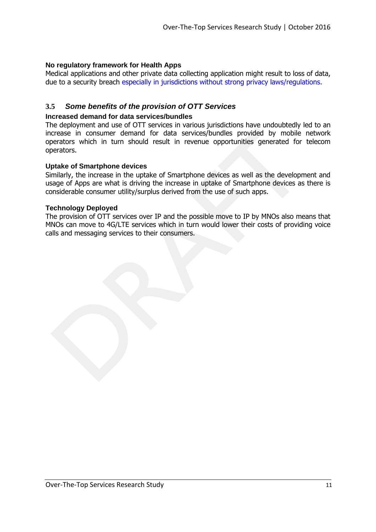#### **No regulatory framework for Health Apps**

Medical applications and other private data collecting application might result to loss of data, due to a security breach especially in jurisdictions without strong privacy laws/regulations.

### **3.5** *Some benefits of the provision of OTT Services*

#### **Increased demand for data services/bundles**

The deployment and use of OTT services in various jurisdictions have undoubtedly led to an increase in consumer demand for data services/bundles provided by mobile network operators which in turn should result in revenue opportunities generated for telecom operators.

#### **Uptake of Smartphone devices**

Similarly, the increase in the uptake of Smartphone devices as well as the development and usage of Apps are what is driving the increase in uptake of Smartphone devices as there is considerable consumer utility/surplus derived from the use of such apps.

#### **Technology Deployed**

The provision of OTT services over IP and the possible move to IP by MNOs also means that MNOs can move to 4G/LTE services which in turn would lower their costs of providing voice calls and messaging services to their consumers.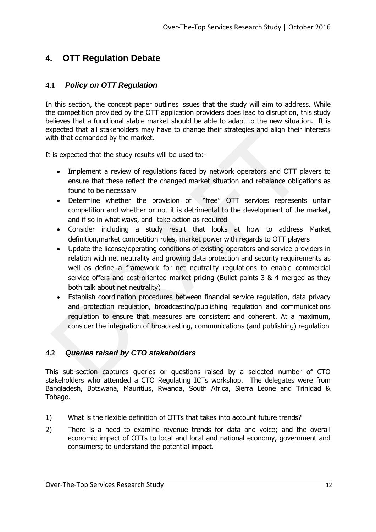# **4. OTT Regulation Debate**

# **4.1** *Policy on OTT Regulation*

In this section, the concept paper outlines issues that the study will aim to address. While the competition provided by the OTT application providers does lead to disruption, this study believes that a functional stable market should be able to adapt to the new situation. It is expected that all stakeholders may have to change their strategies and align their interests with that demanded by the market.

It is expected that the study results will be used to:-

- Implement a review of regulations faced by network operators and OTT players to ensure that these reflect the changed market situation and rebalance obligations as found to be necessary
- Determine whether the provision of "free" OTT services represents unfair competition and whether or not it is detrimental to the development of the market, and if so in what ways, and take action as required
- Consider including a study result that looks at how to address Market definition,market competition rules, market power with regards to OTT players
- Update the license/operating conditions of existing operators and service providers in relation with net neutrality and growing data protection and security requirements as well as define a framework for net neutrality regulations to enable commercial service offers and cost-oriented market pricing (Bullet points 3 & 4 merged as they both talk about net neutrality)
- Establish coordination procedures between financial service regulation, data privacy and protection regulation, broadcasting/publishing regulation and communications regulation to ensure that measures are consistent and coherent. At a maximum, consider the integration of broadcasting, communications (and publishing) regulation

# **4.2** *Queries raised by CTO stakeholders*

This sub-section captures queries or questions raised by a selected number of CTO stakeholders who attended a CTO Regulating ICTs workshop. The delegates were from Bangladesh, Botswana, Mauritius, Rwanda, South Africa, Sierra Leone and Trinidad & Tobago.

- 1) What is the flexible definition of OTTs that takes into account future trends?
- 2) There is a need to examine revenue trends for data and voice; and the overall economic impact of OTTs to local and local and national economy, government and consumers; to understand the potential impact.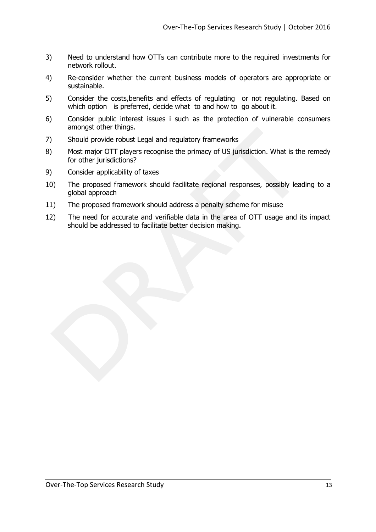- 3) Need to understand how OTTs can contribute more to the required investments for network rollout.
- 4) Re-consider whether the current business models of operators are appropriate or sustainable.
- 5) Consider the costs,benefits and effects of regulating or not regulating. Based on which option is preferred, decide what to and how to go about it.
- 6) Consider public interest issues i such as the protection of vulnerable consumers amongst other things.
- 7) Should provide robust Legal and regulatory frameworks
- 8) Most major OTT players recognise the primacy of US jurisdiction. What is the remedy for other jurisdictions?
- 9) Consider applicability of taxes
- 10) The proposed framework should facilitate regional responses, possibly leading to a global approach
- 11) The proposed framework should address a penalty scheme for misuse
- 12) The need for accurate and verifiable data in the area of OTT usage and its impact should be addressed to facilitate better decision making.